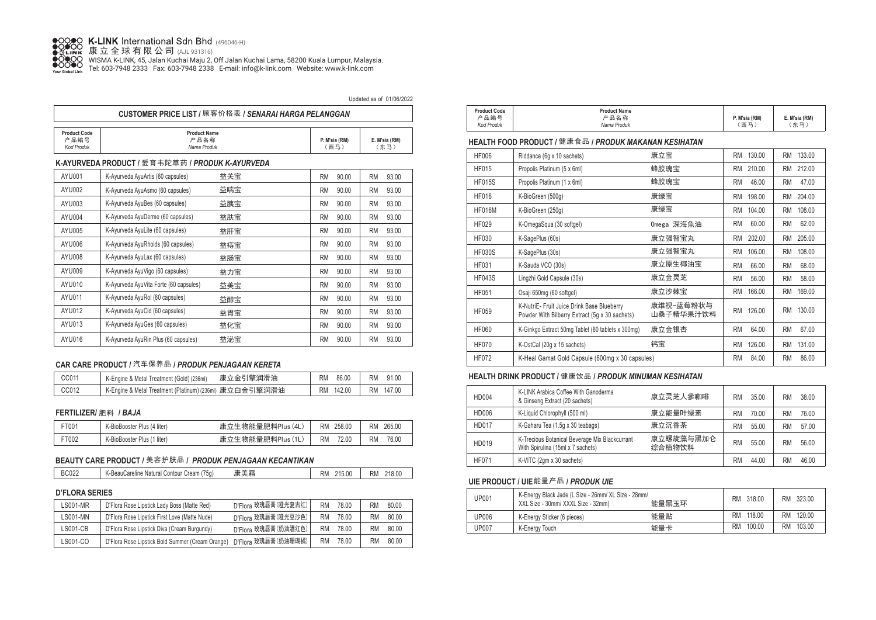

K-LINK International Sɑn Bnɑ <sub>(496046-H)</sub><br>康立全球有限公司 (الدودور)

WISMA K-LINK, 45, Jalan Kuchai Maju 2, Off Jalan Kuchai Lama, 58200 Kuala Lumpur, Malaysia. Tel: 603-7948 2333 Fax: 603-7948 2338 E-mail: info@k-link.com Website: www.k-link.com

| Updated as of 01/06/2022                                                                                                                         |                                          |             |                    |  |  |  |  |
|--------------------------------------------------------------------------------------------------------------------------------------------------|------------------------------------------|-------------|--------------------|--|--|--|--|
| CUSTOMER PRICE LIST / 顾客价格表 / SENARAI HARGA PELANGGAN                                                                                            |                                          |             |                    |  |  |  |  |
| <b>Product Code</b><br><b>Product Name</b><br>产品编号<br>产品名称<br>E. M'sia (RM)<br>P. M'sia (RM)<br>(东马)<br>Nama Produk<br>(西马)<br><b>Kod Produk</b> |                                          |             |                    |  |  |  |  |
| K-AYURVEDA PRODUCT / 爱育韦陀草药 / PRODUK K-AYURVEDA                                                                                                  |                                          |             |                    |  |  |  |  |
| <b>AVII001</b>                                                                                                                                   | 益羊宝<br>K-Avurveda AvuArtis (60 cansules) | an nn<br>RM | <b>03 UU</b><br>RM |  |  |  |  |

| AYU001 | K-Ayurveda AyuArtis (60 capsules)      | 益关宝 | RM | 90.00 | <b>RM</b> | 93.00 |
|--------|----------------------------------------|-----|----|-------|-----------|-------|
| AYU002 | K-Ayurveda AyuAsmo (60 capsules)       | 益喘宝 | RM | 90.00 | <b>RM</b> | 93.00 |
| AYU003 | K-Ayurveda AyuBes (60 capsules)        | 益胰宝 | RM | 90.00 | <b>RM</b> | 93.00 |
| AYU004 | K-Ayurveda AyuDerme (60 capsules)      | 益肤宝 | RM | 90.00 | <b>RM</b> | 93.00 |
| AYU005 | K-Ayurveda AyuLite (60 capsules)       | 益肝宝 | RM | 90.00 | <b>RM</b> | 93.00 |
| AYU006 | K-Ayurveda AyuRhoids (60 capsules)     | 益痔宝 | RM | 90.00 | <b>RM</b> | 93.00 |
| AYU008 | K-Ayurveda AyuLax (60 capsules)        | 益肠宝 | RM | 90.00 | <b>RM</b> | 93.00 |
| AYU009 | K-Ayurveda AyuVigo (60 capsules)       | 益力宝 | RM | 90.00 | <b>RM</b> | 93.00 |
| AYU010 | K-Ayurveda AyuVita Forte (60 capsules) | 益美宝 | RM | 90.00 | <b>RM</b> | 93.00 |
| AYU011 | K-Ayurveda AyuRol (60 capsules)        | 益醇宝 | RM | 90.00 | <b>RM</b> | 93.00 |
| AYU012 | K-Ayurveda AyuCid (60 capsules)        | 益胃宝 | RM | 90.00 | <b>RM</b> | 93.00 |
| AYU013 | K-Ayurveda AyuGes (60 capsules)        | 益化宝 | RM | 90.00 | <b>RM</b> | 93.00 |
| AYU016 | K-Ayurveda AyuRin Plus (60 capsules)   | 益泌宝 | RM | 90.00 | <b>RM</b> | 93.00 |
|        |                                        |     |    |       |           |       |

## **CAR CARE PRODUCT /** 汽车保养品 **/** *PRODUK PENJAGAAN KERETA*

| CC011 | 康立金引擎润滑油                                                  | 86.00               | 91.00     |
|-------|-----------------------------------------------------------|---------------------|-----------|
|       | K-Engine & Metal Treatment (Gold) (236ml)                 | <b>RM</b>           | RM.       |
| CC012 | ` K-Engine & Metal Treatment (Platinum) (236ml) 康立白金引擎润滑油 | 142.00<br><b>RM</b> | RM 147.00 |

#### **FERTILIZER/** 肥料 **/** *BAJA*

| $-1001$ | K-BioBooster Plus (4 liter) | 康立生物能量肥料Plus (4L) | 258.00<br><b>RM</b> | 265.00<br><b>RM</b> |
|---------|-----------------------------|-------------------|---------------------|---------------------|
| T002    | K-BioBooster Plus (1 liter) | 康立生物能量肥料Plus(1L)  | <b>RM</b><br>72.00  | <b>RM</b><br>76.00  |

## **BEAUTY CARE PRODUCT /** 美容护肤品 **/** *PRODUK PENJAGAAN KECANTIKAN*

| <b>BC022</b>                               | 羊囊  | 215.00 | 218.00 |
|--------------------------------------------|-----|--------|--------|
| K-BeauCareline Natural Contour Cream (75g) | 康美霜 | RM     | RM.    |

## **D'FLORA SERIES**

| LS001-MR | D'Flora Rose Lipstick Lady Boss (Matte Red)      | D'Flora 玫瑰唇膏(哑光复古红) | <b>RM</b> | 78.00 | <b>RM</b> | 80.00 |
|----------|--------------------------------------------------|---------------------|-----------|-------|-----------|-------|
| LS001-MN | D'Flora Rose Lipstick First Love (Matte Nude)    | D'Flora 玫瑰唇膏(哑光豆沙色) | RM        | 78.00 | RM        | 80.00 |
| LS001-CB | D'Flora Rose Lipstick Diva (Cream Burgundy)      | D'Flora 玫瑰唇膏(奶油酒红色) | <b>RM</b> | 78.00 | RM        | 80.00 |
| LS001-CO | D'Flora Rose Lipstick Bold Summer (Cream Orange) | D'Flora 玫瑰唇膏(奶油珊瑚橘) | RM        | 78.00 | RM        | 80.00 |

| <b>Product Code</b> | <b>Product Name</b> |               |               |  |
|---------------------|---------------------|---------------|---------------|--|
| 产品编号                | 产品名称                | P. M'sia (RM) | E. M'sia (RM) |  |
| <b>Kod Produk</b>   | Nama Produk         | 西马            | 、东马"          |  |

#### **HEALTH FOOD PRODUCT /** 健康食品 **/** *PRODUK MAKANAN KESIHATAN*

| HF006         | Riddance (6g x 10 sachets)                                                                   | 康立宝                    | 130.00<br>RM        | 133.00<br>RM        |
|---------------|----------------------------------------------------------------------------------------------|------------------------|---------------------|---------------------|
| HF015         | Propolis Platinum (5 x 6ml)                                                                  | 蜂胶瑰宝                   | 210.00<br>RM        | 212.00<br>RM        |
| <b>HF015S</b> | Propolis Platinum (1 x 6ml)                                                                  | 蜂胶瑰宝                   | 46.00<br><b>RM</b>  | 47.00<br><b>RM</b>  |
| <b>HF016</b>  | K-BioGreen (500q)                                                                            | 康绿宝                    | 198.00<br>RM        | 204.00<br><b>RM</b> |
| <b>HF016M</b> | K-BioGreen (250g)                                                                            | 康绿宝                    | 104.00<br>RM        | 108.00<br>RM        |
| HF029         | K-OmegaSqua (30 softgel)                                                                     | Omega 深海魚油             | RM<br>60.00         | 62.00<br><b>RM</b>  |
| <b>HF030</b>  | K-SagePlus (60s)                                                                             | 康立强智宝丸                 | 202.00<br>RM        | 205.00<br><b>RM</b> |
| <b>HF030S</b> | K-SagePlus (30s)                                                                             | 康立强智宝丸                 | 106.00<br><b>RM</b> | 108.00<br><b>RM</b> |
| <b>HF031</b>  | K-Sauda VCO (30s)                                                                            | 康立原生椰油宝                | 66.00<br>RM         | 68.00<br>RM         |
| <b>HF043S</b> | Lingzhi Gold Capsule (30s)                                                                   | 康立金灵芝                  | 56.00<br>RM         | 58.00<br><b>RM</b>  |
| <b>HF051</b>  | Osaji 650mg (60 softgel)                                                                     | 康立沙棘宝                  | 166.00<br>RM        | 169.00<br>RM        |
| <b>HF059</b>  | K-NutriE- Fruit Juice Drink Base Blueberry<br>Powder With Bilberry Extract (5q x 30 sachets) | 康维视-蓝莓粉状与<br>山桑子精华果汁饮料 | 126.00<br><b>RM</b> | 130.00<br><b>RM</b> |
| <b>HF060</b>  | K-Ginkgo Extract 50mg Tablet (60 tablets x 300mg)                                            | 康立金银杏                  | 64.00<br><b>RM</b>  | 67.00<br><b>RM</b>  |
| <b>HF070</b>  | K-OstCal (20q x 15 sachets)                                                                  | 钙宝                     | 126.00<br>RM        | 131.00<br><b>RM</b> |
| <b>HF072</b>  | K-Heal Gamat Gold Capsule (600mg x 30 capsules)                                              |                        | RM<br>84.00         | 86.00<br><b>RM</b>  |

#### **HEALTH DRINK PRODUCT /** 健康饮品 **/** *PRODUK MINUMAN KESIHATAN*

| HD004        | K-LINK Arabica Coffee With Ganoderma<br>& Ginseng Extract (20 sachets)              | 康立灵芝人參咖啡            | <b>RM</b> | 35.00 | RM        | 38.00 |
|--------------|-------------------------------------------------------------------------------------|---------------------|-----------|-------|-----------|-------|
| HD006        | K-Liquid Chlorophyll (500 ml)                                                       | 康立能量叶绿素             | <b>RM</b> | 70.00 | RM        | 76.00 |
| <b>HD017</b> | K-Gaharu Tea (1.5q x 30 teabags)                                                    | 康立沉香茶               | <b>RM</b> | 55.00 | RM        | 57.00 |
| HD019        | K-Trecious Botanical Beverage Mix Blackcurrant<br>With Spirulina (15ml x 7 sachets) | 康立螺旋藻与黑加仑<br>综合植物饮料 | <b>RM</b> | 55.00 | <b>RM</b> | 56.00 |
| HF071        | K-VITC (2gm x 30 sachets)                                                           |                     | <b>RM</b> | 44.00 | RM        | 46.00 |

## **UIE PRODUCT / UIE**能量产品 **/** *PRODUK UIE*

| UP001 | K-Energy Black Jade (L Size - 26mm/ XL Size - 28mm/<br>XXL Size - 30mm/ XXXL Size - 32mm) | 能量黑玉环 | RM 318.00           | RM 323.00           |
|-------|-------------------------------------------------------------------------------------------|-------|---------------------|---------------------|
| UP006 | K-Energy Sticker (6 pieces)                                                               | 能量贴   | RM 118.00           | 120.00<br>RM        |
| UP007 | K-Energy Touch                                                                            | 能量卡   | 100.00<br><b>RM</b> | 103.00<br><b>RM</b> |